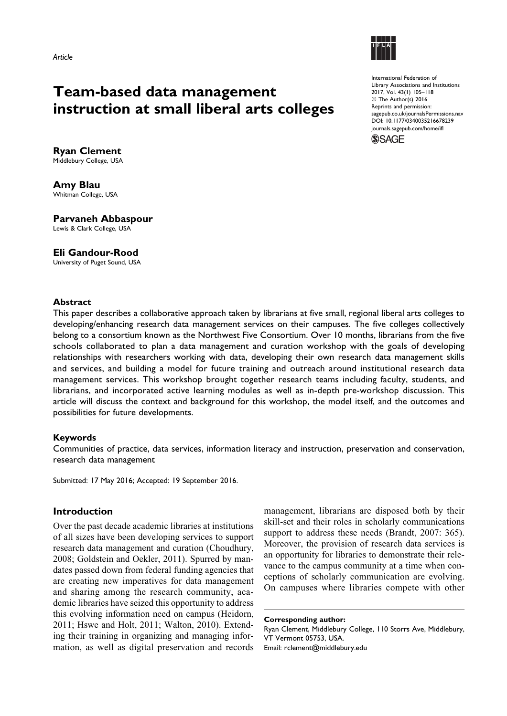

# Team-based data management instruction at small liberal arts colleges

International Federation of Library Associations and Institutions 2017, Vol. 43(1) 105–118 © The Author(s) 2016 Reprints and permission: [sagepub.co.uk/journalsPermissions.nav](https://uk.sagepub.com/en-gb/journals-permissions) [DOI: 10.1177/0340035216678239](https://doi.org/10.1177/0340035216678239) [journals.sagepub.com/home/ifl](http://journals.sagepub.com/home/ifl)



Ryan Clement Middlebury College, USA

Amy Blau Whitman College, USA

Parvaneh Abbaspour Lewis & Clark College, USA

# Eli Gandour-Rood

University of Puget Sound, USA

## Abstract

This paper describes a collaborative approach taken by librarians at five small, regional liberal arts colleges to developing/enhancing research data management services on their campuses. The five colleges collectively belong to a consortium known as the Northwest Five Consortium. Over 10 months, librarians from the five schools collaborated to plan a data management and curation workshop with the goals of developing relationships with researchers working with data, developing their own research data management skills and services, and building a model for future training and outreach around institutional research data management services. This workshop brought together research teams including faculty, students, and librarians, and incorporated active learning modules as well as in-depth pre-workshop discussion. This article will discuss the context and background for this workshop, the model itself, and the outcomes and possibilities for future developments.

## Keywords

Communities of practice, data services, information literacy and instruction, preservation and conservation, research data management

Submitted: 17 May 2016; Accepted: 19 September 2016.

# Introduction

Over the past decade academic libraries at institutions of all sizes have been developing services to support research data management and curation (Choudhury, 2008; Goldstein and Oekler, 2011). Spurred by mandates passed down from federal funding agencies that are creating new imperatives for data management and sharing among the research community, academic libraries have seized this opportunity to address this evolving information need on campus (Heidorn, 2011; Hswe and Holt, 2011; Walton, 2010). Extending their training in organizing and managing information, as well as digital preservation and records

management, librarians are disposed both by their skill-set and their roles in scholarly communications support to address these needs (Brandt, 2007: 365). Moreover, the provision of research data services is an opportunity for libraries to demonstrate their relevance to the campus community at a time when conceptions of scholarly communication are evolving. On campuses where libraries compete with other

Corresponding author:

Ryan Clement, Middlebury College, 110 Storrs Ave, Middlebury, VT Vermont 05753, USA. Email: rclement@middlebury.edu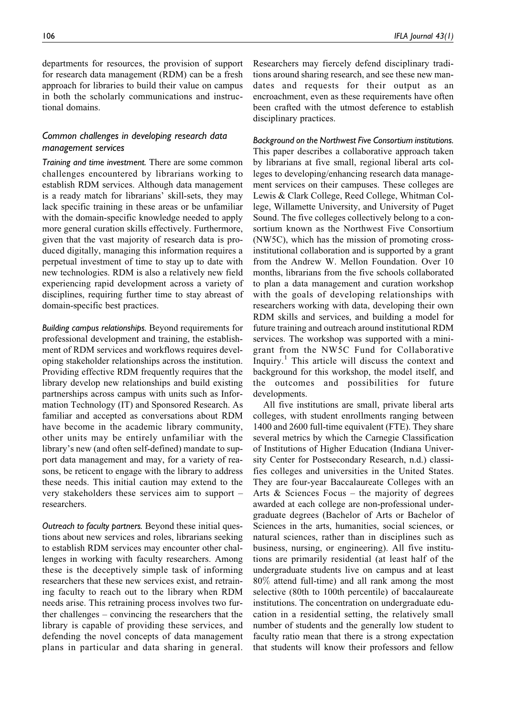departments for resources, the provision of support for research data management (RDM) can be a fresh approach for libraries to build their value on campus in both the scholarly communications and instructional domains.

# Common challenges in developing research data management services

Training and time investment. There are some common challenges encountered by librarians working to establish RDM services. Although data management is a ready match for librarians' skill-sets, they may lack specific training in these areas or be unfamiliar with the domain-specific knowledge needed to apply more general curation skills effectively. Furthermore, given that the vast majority of research data is produced digitally, managing this information requires a perpetual investment of time to stay up to date with new technologies. RDM is also a relatively new field experiencing rapid development across a variety of disciplines, requiring further time to stay abreast of domain-specific best practices.

Building campus relationships. Beyond requirements for professional development and training, the establishment of RDM services and workflows requires developing stakeholder relationships across the institution. Providing effective RDM frequently requires that the library develop new relationships and build existing partnerships across campus with units such as Information Technology (IT) and Sponsored Research. As familiar and accepted as conversations about RDM have become in the academic library community, other units may be entirely unfamiliar with the library's new (and often self-defined) mandate to support data management and may, for a variety of reasons, be reticent to engage with the library to address these needs. This initial caution may extend to the very stakeholders these services aim to support – researchers.

Outreach to faculty partners. Beyond these initial questions about new services and roles, librarians seeking to establish RDM services may encounter other challenges in working with faculty researchers. Among these is the deceptively simple task of informing researchers that these new services exist, and retraining faculty to reach out to the library when RDM needs arise. This retraining process involves two further challenges – convincing the researchers that the library is capable of providing these services, and defending the novel concepts of data management plans in particular and data sharing in general. Researchers may fiercely defend disciplinary traditions around sharing research, and see these new mandates and requests for their output as an encroachment, even as these requirements have often been crafted with the utmost deference to establish disciplinary practices.

Background on the Northwest Five Consortium institutions. This paper describes a collaborative approach taken by librarians at five small, regional liberal arts colleges to developing/enhancing research data management services on their campuses. These colleges are Lewis & Clark College, Reed College, Whitman College, Willamette University, and University of Puget Sound. The five colleges collectively belong to a consortium known as the Northwest Five Consortium (NW5C), which has the mission of promoting crossinstitutional collaboration and is supported by a grant from the Andrew W. Mellon Foundation. Over 10 months, librarians from the five schools collaborated to plan a data management and curation workshop with the goals of developing relationships with researchers working with data, developing their own RDM skills and services, and building a model for future training and outreach around institutional RDM services. The workshop was supported with a minigrant from the NW5C Fund for Collaborative Inquiry.<sup>1</sup> This article will discuss the context and background for this workshop, the model itself, and the outcomes and possibilities for future developments.

All five institutions are small, private liberal arts colleges, with student enrollments ranging between 1400 and 2600 full-time equivalent (FTE). They share several metrics by which the Carnegie Classification of Institutions of Higher Education (Indiana University Center for Postsecondary Research, n.d.) classifies colleges and universities in the United States. They are four-year Baccalaureate Colleges with an Arts & Sciences Focus – the majority of degrees awarded at each college are non-professional undergraduate degrees (Bachelor of Arts or Bachelor of Sciences in the arts, humanities, social sciences, or natural sciences, rather than in disciplines such as business, nursing, or engineering). All five institutions are primarily residential (at least half of the undergraduate students live on campus and at least 80% attend full-time) and all rank among the most selective (80th to 100th percentile) of baccalaureate institutions. The concentration on undergraduate education in a residential setting, the relatively small number of students and the generally low student to faculty ratio mean that there is a strong expectation that students will know their professors and fellow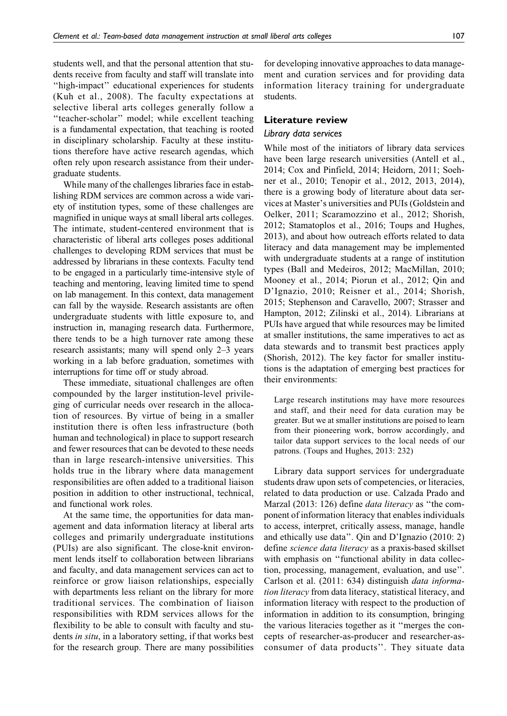students well, and that the personal attention that students receive from faculty and staff will translate into ''high-impact'' educational experiences for students (Kuh et al., 2008). The faculty expectations at selective liberal arts colleges generally follow a ''teacher-scholar'' model; while excellent teaching is a fundamental expectation, that teaching is rooted in disciplinary scholarship. Faculty at these institutions therefore have active research agendas, which often rely upon research assistance from their undergraduate students.

While many of the challenges libraries face in establishing RDM services are common across a wide variety of institution types, some of these challenges are magnified in unique ways at small liberal arts colleges. The intimate, student-centered environment that is characteristic of liberal arts colleges poses additional challenges to developing RDM services that must be addressed by librarians in these contexts. Faculty tend to be engaged in a particularly time-intensive style of teaching and mentoring, leaving limited time to spend on lab management. In this context, data management can fall by the wayside. Research assistants are often undergraduate students with little exposure to, and instruction in, managing research data. Furthermore, there tends to be a high turnover rate among these research assistants; many will spend only 2–3 years working in a lab before graduation, sometimes with interruptions for time off or study abroad.

These immediate, situational challenges are often compounded by the larger institution-level privileging of curricular needs over research in the allocation of resources. By virtue of being in a smaller institution there is often less infrastructure (both human and technological) in place to support research and fewer resources that can be devoted to these needs than in large research-intensive universities. This holds true in the library where data management responsibilities are often added to a traditional liaison position in addition to other instructional, technical, and functional work roles.

At the same time, the opportunities for data management and data information literacy at liberal arts colleges and primarily undergraduate institutions (PUIs) are also significant. The close-knit environment lends itself to collaboration between librarians and faculty, and data management services can act to reinforce or grow liaison relationships, especially with departments less reliant on the library for more traditional services. The combination of liaison responsibilities with RDM services allows for the flexibility to be able to consult with faculty and students in situ, in a laboratory setting, if that works best for the research group. There are many possibilities

for developing innovative approaches to data management and curation services and for providing data information literacy training for undergraduate students.

## Literature review

## Library data services

While most of the initiators of library data services have been large research universities (Antell et al., 2014; Cox and Pinfield, 2014; Heidorn, 2011; Soehner et al., 2010; Tenopir et al., 2012, 2013, 2014), there is a growing body of literature about data services at Master's universities and PUIs (Goldstein and Oelker, 2011; Scaramozzino et al., 2012; Shorish, 2012; Stamatoplos et al., 2016; Toups and Hughes, 2013), and about how outreach efforts related to data literacy and data management may be implemented with undergraduate students at a range of institution types (Ball and Medeiros, 2012; MacMillan, 2010; Mooney et al., 2014; Piorun et al., 2012; Qin and D'Ignazio, 2010; Reisner et al., 2014; Shorish, 2015; Stephenson and Caravello, 2007; Strasser and Hampton, 2012; Zilinski et al., 2014). Librarians at PUIs have argued that while resources may be limited at smaller institutions, the same imperatives to act as data stewards and to transmit best practices apply (Shorish, 2012). The key factor for smaller institutions is the adaptation of emerging best practices for their environments:

Large research institutions may have more resources and staff, and their need for data curation may be greater. But we at smaller institutions are poised to learn from their pioneering work, borrow accordingly, and tailor data support services to the local needs of our patrons. (Toups and Hughes, 2013: 232)

Library data support services for undergraduate students draw upon sets of competencies, or literacies, related to data production or use. Calzada Prado and Marzal (2013: 126) define *data literacy* as "the component of information literacy that enables individuals to access, interpret, critically assess, manage, handle and ethically use data''. Qin and D'Ignazio (2010: 2) define science data literacy as a praxis-based skillset with emphasis on "functional ability in data collection, processing, management, evaluation, and use''. Carlson et al. (2011: 634) distinguish data information literacy from data literacy, statistical literacy, and information literacy with respect to the production of information in addition to its consumption, bringing the various literacies together as it ''merges the concepts of researcher-as-producer and researcher-asconsumer of data products''. They situate data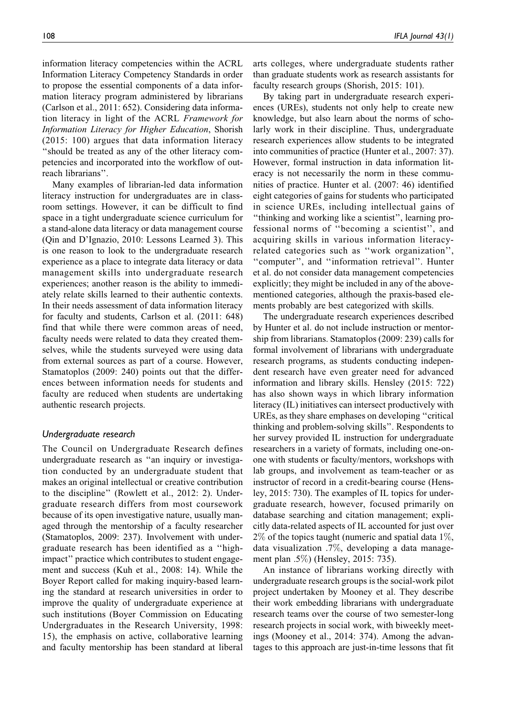information literacy competencies within the ACRL Information Literacy Competency Standards in order to propose the essential components of a data information literacy program administered by librarians (Carlson et al., 2011: 652). Considering data information literacy in light of the ACRL Framework for Information Literacy for Higher Education, Shorish (2015: 100) argues that data information literacy ''should be treated as any of the other literacy competencies and incorporated into the workflow of outreach librarians''.

Many examples of librarian-led data information literacy instruction for undergraduates are in classroom settings. However, it can be difficult to find space in a tight undergraduate science curriculum for a stand-alone data literacy or data management course (Qin and D'Ignazio, 2010: Lessons Learned 3). This is one reason to look to the undergraduate research experience as a place to integrate data literacy or data management skills into undergraduate research experiences; another reason is the ability to immediately relate skills learned to their authentic contexts. In their needs assessment of data information literacy for faculty and students, Carlson et al. (2011: 648) find that while there were common areas of need, faculty needs were related to data they created themselves, while the students surveyed were using data from external sources as part of a course. However, Stamatoplos (2009: 240) points out that the differences between information needs for students and faculty are reduced when students are undertaking authentic research projects.

## Undergraduate research

The Council on Undergraduate Research defines undergraduate research as ''an inquiry or investigation conducted by an undergraduate student that makes an original intellectual or creative contribution to the discipline'' (Rowlett et al., 2012: 2). Undergraduate research differs from most coursework because of its open investigative nature, usually managed through the mentorship of a faculty researcher (Stamatoplos, 2009: 237). Involvement with undergraduate research has been identified as a ''highimpact'' practice which contributes to student engagement and success (Kuh et al., 2008: 14). While the Boyer Report called for making inquiry-based learning the standard at research universities in order to improve the quality of undergraduate experience at such institutions (Boyer Commission on Educating Undergraduates in the Research University, 1998: 15), the emphasis on active, collaborative learning and faculty mentorship has been standard at liberal arts colleges, where undergraduate students rather than graduate students work as research assistants for faculty research groups (Shorish, 2015: 101).

By taking part in undergraduate research experiences (UREs), students not only help to create new knowledge, but also learn about the norms of scholarly work in their discipline. Thus, undergraduate research experiences allow students to be integrated into communities of practice (Hunter et al., 2007: 37). However, formal instruction in data information literacy is not necessarily the norm in these communities of practice. Hunter et al. (2007: 46) identified eight categories of gains for students who participated in science UREs, including intellectual gains of ''thinking and working like a scientist'', learning professional norms of ''becoming a scientist'', and acquiring skills in various information literacyrelated categories such as ''work organization'', ''computer'', and ''information retrieval''. Hunter et al. do not consider data management competencies explicitly; they might be included in any of the abovementioned categories, although the praxis-based elements probably are best categorized with skills.

The undergraduate research experiences described by Hunter et al. do not include instruction or mentorship from librarians. Stamatoplos (2009: 239) calls for formal involvement of librarians with undergraduate research programs, as students conducting independent research have even greater need for advanced information and library skills. Hensley (2015: 722) has also shown ways in which library information literacy (IL) initiatives can intersect productively with UREs, as they share emphases on developing ''critical thinking and problem-solving skills''. Respondents to her survey provided IL instruction for undergraduate researchers in a variety of formats, including one-onone with students or faculty/mentors, workshops with lab groups, and involvement as team-teacher or as instructor of record in a credit-bearing course (Hensley, 2015: 730). The examples of IL topics for undergraduate research, however, focused primarily on database searching and citation management; explicitly data-related aspects of IL accounted for just over  $2\%$  of the topics taught (numeric and spatial data 1%, data visualization .7%, developing a data management plan .5%) (Hensley, 2015: 735).

An instance of librarians working directly with undergraduate research groups is the social-work pilot project undertaken by Mooney et al. They describe their work embedding librarians with undergraduate research teams over the course of two semester-long research projects in social work, with biweekly meetings (Mooney et al., 2014: 374). Among the advantages to this approach are just-in-time lessons that fit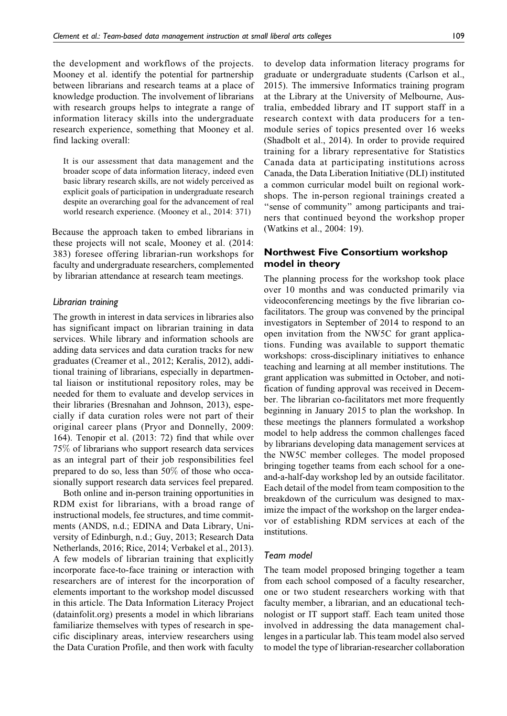the development and workflows of the projects. Mooney et al. identify the potential for partnership between librarians and research teams at a place of knowledge production. The involvement of librarians with research groups helps to integrate a range of information literacy skills into the undergraduate research experience, something that Mooney et al. find lacking overall:

It is our assessment that data management and the broader scope of data information literacy, indeed even basic library research skills, are not widely perceived as explicit goals of participation in undergraduate research despite an overarching goal for the advancement of real world research experience. (Mooney et al., 2014: 371)

Because the approach taken to embed librarians in these projects will not scale, Mooney et al. (2014: 383) foresee offering librarian-run workshops for faculty and undergraduate researchers, complemented by librarian attendance at research team meetings.

#### Librarian training

The growth in interest in data services in libraries also has significant impact on librarian training in data services. While library and information schools are adding data services and data curation tracks for new graduates (Creamer et al., 2012; Keralis, 2012), additional training of librarians, especially in departmental liaison or institutional repository roles, may be needed for them to evaluate and develop services in their libraries (Bresnahan and Johnson, 2013), especially if data curation roles were not part of their original career plans (Pryor and Donnelly, 2009: 164). Tenopir et al. (2013: 72) find that while over 75% of librarians who support research data services as an integral part of their job responsibilities feel prepared to do so, less than 50% of those who occasionally support research data services feel prepared.

Both online and in-person training opportunities in RDM exist for librarians, with a broad range of instructional models, fee structures, and time commitments (ANDS, n.d.; EDINA and Data Library, University of Edinburgh, n.d.; Guy, 2013; Research Data Netherlands, 2016; Rice, 2014; Verbakel et al., 2013). A few models of librarian training that explicitly incorporate face-to-face training or interaction with researchers are of interest for the incorporation of elements important to the workshop model discussed in this article. The Data Information Literacy Project [\(datainfolit.org\)](http://datainfolit.org) presents a model in which librarians familiarize themselves with types of research in specific disciplinary areas, interview researchers using the Data Curation Profile, and then work with faculty

to develop data information literacy programs for graduate or undergraduate students (Carlson et al., 2015). The immersive Informatics training program at the Library at the University of Melbourne, Australia, embedded library and IT support staff in a research context with data producers for a tenmodule series of topics presented over 16 weeks (Shadbolt et al., 2014). In order to provide required training for a library representative for Statistics Canada data at participating institutions across Canada, the Data Liberation Initiative (DLI) instituted a common curricular model built on regional workshops. The in-person regional trainings created a ''sense of community'' among participants and trainers that continued beyond the workshop proper (Watkins et al., 2004: 19).

## Northwest Five Consortium workshop model in theory

The planning process for the workshop took place over 10 months and was conducted primarily via videoconferencing meetings by the five librarian cofacilitators. The group was convened by the principal investigators in September of 2014 to respond to an open invitation from the NW5C for grant applications. Funding was available to support thematic workshops: cross-disciplinary initiatives to enhance teaching and learning at all member institutions. The grant application was submitted in October, and notification of funding approval was received in December. The librarian co-facilitators met more frequently beginning in January 2015 to plan the workshop. In these meetings the planners formulated a workshop model to help address the common challenges faced by librarians developing data management services at the NW5C member colleges. The model proposed bringing together teams from each school for a oneand-a-half-day workshop led by an outside facilitator. Each detail of the model from team composition to the breakdown of the curriculum was designed to maximize the impact of the workshop on the larger endeavor of establishing RDM services at each of the institutions.

#### Team model

The team model proposed bringing together a team from each school composed of a faculty researcher, one or two student researchers working with that faculty member, a librarian, and an educational technologist or IT support staff. Each team united those involved in addressing the data management challenges in a particular lab. This team model also served to model the type of librarian-researcher collaboration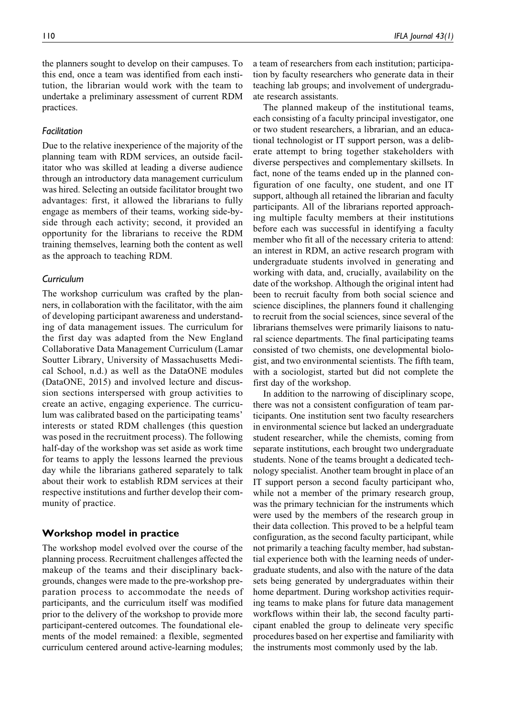the planners sought to develop on their campuses. To this end, once a team was identified from each institution, the librarian would work with the team to undertake a preliminary assessment of current RDM practices.

#### Facilitation

Due to the relative inexperience of the majority of the planning team with RDM services, an outside facilitator who was skilled at leading a diverse audience through an introductory data management curriculum was hired. Selecting an outside facilitator brought two advantages: first, it allowed the librarians to fully engage as members of their teams, working side-byside through each activity; second, it provided an opportunity for the librarians to receive the RDM training themselves, learning both the content as well as the approach to teaching RDM.

#### Curriculum

The workshop curriculum was crafted by the planners, in collaboration with the facilitator, with the aim of developing participant awareness and understanding of data management issues. The curriculum for the first day was adapted from the New England Collaborative Data Management Curriculum (Lamar Soutter Library, University of Massachusetts Medical School, n.d.) as well as the DataONE modules (DataONE, 2015) and involved lecture and discussion sections interspersed with group activities to create an active, engaging experience. The curriculum was calibrated based on the participating teams' interests or stated RDM challenges (this question was posed in the recruitment process). The following half-day of the workshop was set aside as work time for teams to apply the lessons learned the previous day while the librarians gathered separately to talk about their work to establish RDM services at their respective institutions and further develop their community of practice.

## Workshop model in practice

The workshop model evolved over the course of the planning process. Recruitment challenges affected the makeup of the teams and their disciplinary backgrounds, changes were made to the pre-workshop preparation process to accommodate the needs of participants, and the curriculum itself was modified prior to the delivery of the workshop to provide more participant-centered outcomes. The foundational elements of the model remained: a flexible, segmented curriculum centered around active-learning modules;

a team of researchers from each institution; participation by faculty researchers who generate data in their teaching lab groups; and involvement of undergraduate research assistants.

The planned makeup of the institutional teams, each consisting of a faculty principal investigator, one or two student researchers, a librarian, and an educational technologist or IT support person, was a deliberate attempt to bring together stakeholders with diverse perspectives and complementary skillsets. In fact, none of the teams ended up in the planned configuration of one faculty, one student, and one IT support, although all retained the librarian and faculty participants. All of the librarians reported approaching multiple faculty members at their institutions before each was successful in identifying a faculty member who fit all of the necessary criteria to attend: an interest in RDM, an active research program with undergraduate students involved in generating and working with data, and, crucially, availability on the date of the workshop. Although the original intent had been to recruit faculty from both social science and science disciplines, the planners found it challenging to recruit from the social sciences, since several of the librarians themselves were primarily liaisons to natural science departments. The final participating teams consisted of two chemists, one developmental biologist, and two environmental scientists. The fifth team, with a sociologist, started but did not complete the first day of the workshop.

In addition to the narrowing of disciplinary scope, there was not a consistent configuration of team participants. One institution sent two faculty researchers in environmental science but lacked an undergraduate student researcher, while the chemists, coming from separate institutions, each brought two undergraduate students. None of the teams brought a dedicated technology specialist. Another team brought in place of an IT support person a second faculty participant who, while not a member of the primary research group, was the primary technician for the instruments which were used by the members of the research group in their data collection. This proved to be a helpful team configuration, as the second faculty participant, while not primarily a teaching faculty member, had substantial experience both with the learning needs of undergraduate students, and also with the nature of the data sets being generated by undergraduates within their home department. During workshop activities requiring teams to make plans for future data management workflows within their lab, the second faculty participant enabled the group to delineate very specific procedures based on her expertise and familiarity with the instruments most commonly used by the lab.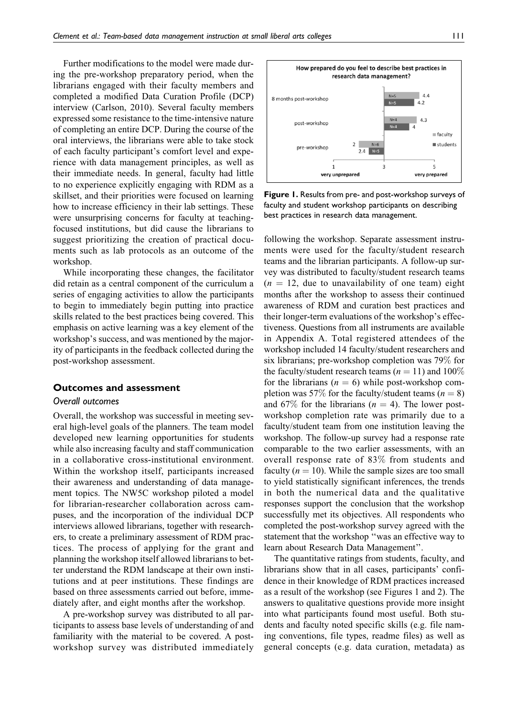Further modifications to the model were made during the pre-workshop preparatory period, when the librarians engaged with their faculty members and completed a modified Data Curation Profile (DCP) interview (Carlson, 2010). Several faculty members expressed some resistance to the time-intensive nature of completing an entire DCP. During the course of the oral interviews, the librarians were able to take stock of each faculty participant's comfort level and experience with data management principles, as well as their immediate needs. In general, faculty had little to no experience explicitly engaging with RDM as a skillset, and their priorities were focused on learning how to increase efficiency in their lab settings. These were unsurprising concerns for faculty at teachingfocused institutions, but did cause the librarians to suggest prioritizing the creation of practical documents such as lab protocols as an outcome of the workshop.

While incorporating these changes, the facilitator did retain as a central component of the curriculum a series of engaging activities to allow the participants to begin to immediately begin putting into practice skills related to the best practices being covered. This emphasis on active learning was a key element of the workshop's success, and was mentioned by the majority of participants in the feedback collected during the post-workshop assessment.

#### Outcomes and assessment

## Overall outcomes

Overall, the workshop was successful in meeting several high-level goals of the planners. The team model developed new learning opportunities for students while also increasing faculty and staff communication in a collaborative cross-institutional environment. Within the workshop itself, participants increased their awareness and understanding of data management topics. The NW5C workshop piloted a model for librarian-researcher collaboration across campuses, and the incorporation of the individual DCP interviews allowed librarians, together with researchers, to create a preliminary assessment of RDM practices. The process of applying for the grant and planning the workshop itself allowed librarians to better understand the RDM landscape at their own institutions and at peer institutions. These findings are based on three assessments carried out before, immediately after, and eight months after the workshop.

A pre-workshop survey was distributed to all participants to assess base levels of understanding of and familiarity with the material to be covered. A postworkshop survey was distributed immediately



Figure 1. Results from pre- and post-workshop surveys of faculty and student workshop participants on describing best practices in research data management.

following the workshop. Separate assessment instruments were used for the faculty/student research teams and the librarian participants. A follow-up survey was distributed to faculty/student research teams  $(n = 12$ , due to unavailability of one team) eight months after the workshop to assess their continued awareness of RDM and curation best practices and their longer-term evaluations of the workshop's effectiveness. Questions from all instruments are available in Appendix A. Total registered attendees of the workshop included 14 faculty/student researchers and six librarians; pre-workshop completion was 79% for the faculty/student research teams ( $n = 11$ ) and 100% for the librarians ( $n = 6$ ) while post-workshop completion was 57% for the faculty/student teams ( $n = 8$ ) and 67% for the librarians ( $n = 4$ ). The lower postworkshop completion rate was primarily due to a faculty/student team from one institution leaving the workshop. The follow-up survey had a response rate comparable to the two earlier assessments, with an overall response rate of 83% from students and faculty  $(n = 10)$ . While the sample sizes are too small to yield statistically significant inferences, the trends in both the numerical data and the qualitative responses support the conclusion that the workshop successfully met its objectives. All respondents who completed the post-workshop survey agreed with the statement that the workshop ''was an effective way to learn about Research Data Management''.

The quantitative ratings from students, faculty, and librarians show that in all cases, participants' confidence in their knowledge of RDM practices increased as a result of the workshop (see Figures 1 and 2). The answers to qualitative questions provide more insight into what participants found most useful. Both students and faculty noted specific skills (e.g. file naming conventions, file types, readme files) as well as general concepts (e.g. data curation, metadata) as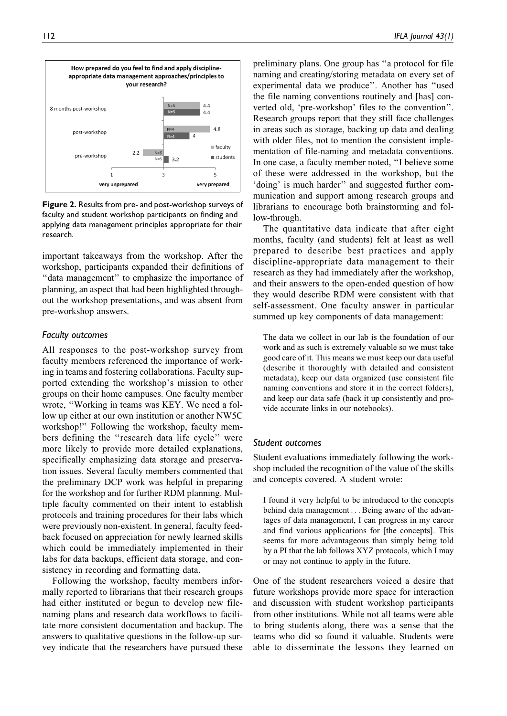

Figure 2. Results from pre- and post-workshop surveys of faculty and student workshop participants on finding and applying data management principles appropriate for their research.

important takeaways from the workshop. After the workshop, participants expanded their definitions of ''data management'' to emphasize the importance of planning, an aspect that had been highlighted throughout the workshop presentations, and was absent from pre-workshop answers.

#### Faculty outcomes

All responses to the post-workshop survey from faculty members referenced the importance of working in teams and fostering collaborations. Faculty supported extending the workshop's mission to other groups on their home campuses. One faculty member wrote, ''Working in teams was KEY. We need a follow up either at our own institution or another NW5C workshop!'' Following the workshop, faculty members defining the ''research data life cycle'' were more likely to provide more detailed explanations, specifically emphasizing data storage and preservation issues. Several faculty members commented that the preliminary DCP work was helpful in preparing for the workshop and for further RDM planning. Multiple faculty commented on their intent to establish protocols and training procedures for their labs which were previously non-existent. In general, faculty feedback focused on appreciation for newly learned skills which could be immediately implemented in their labs for data backups, efficient data storage, and consistency in recording and formatting data.

Following the workshop, faculty members informally reported to librarians that their research groups had either instituted or begun to develop new filenaming plans and research data workflows to facilitate more consistent documentation and backup. The answers to qualitative questions in the follow-up survey indicate that the researchers have pursued these preliminary plans. One group has ''a protocol for file naming and creating/storing metadata on every set of experimental data we produce''. Another has ''used the file naming conventions routinely and [has] converted old, 'pre-workshop' files to the convention''. Research groups report that they still face challenges in areas such as storage, backing up data and dealing with older files, not to mention the consistent implementation of file-naming and metadata conventions. In one case, a faculty member noted, ''I believe some of these were addressed in the workshop, but the 'doing' is much harder'' and suggested further communication and support among research groups and librarians to encourage both brainstorming and follow-through.

The quantitative data indicate that after eight months, faculty (and students) felt at least as well prepared to describe best practices and apply discipline-appropriate data management to their research as they had immediately after the workshop, and their answers to the open-ended question of how they would describe RDM were consistent with that self-assessment. One faculty answer in particular summed up key components of data management:

The data we collect in our lab is the foundation of our work and as such is extremely valuable so we must take good care of it. This means we must keep our data useful (describe it thoroughly with detailed and consistent metadata), keep our data organized (use consistent file naming conventions and store it in the correct folders), and keep our data safe (back it up consistently and provide accurate links in our notebooks).

#### Student outcomes

Student evaluations immediately following the workshop included the recognition of the value of the skills and concepts covered. A student wrote:

I found it very helpful to be introduced to the concepts behind data management ... Being aware of the advantages of data management, I can progress in my career and find various applications for [the concepts]. This seems far more advantageous than simply being told by a PI that the lab follows XYZ protocols, which I may or may not continue to apply in the future.

One of the student researchers voiced a desire that future workshops provide more space for interaction and discussion with student workshop participants from other institutions. While not all teams were able to bring students along, there was a sense that the teams who did so found it valuable. Students were able to disseminate the lessons they learned on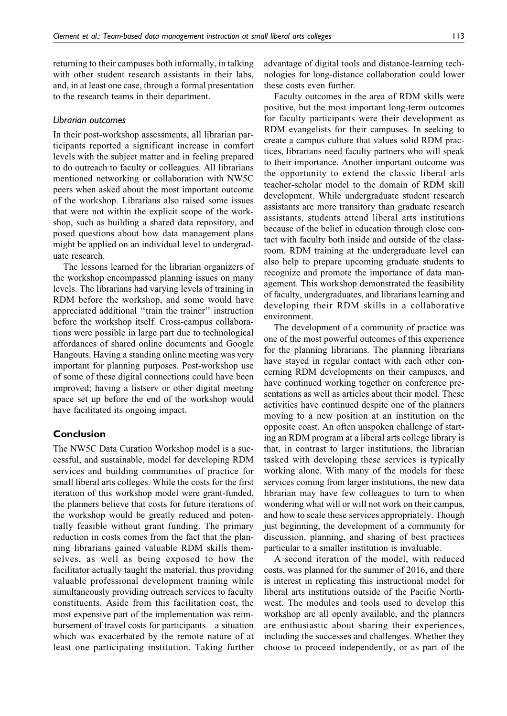returning to their campuses both informally, in talking with other student research assistants in their labs, and, in at least one case, through a formal presentation to the research teams in their department.

## Librarian outcomes

In their post-workshop assessments, all librarian participants reported a significant increase in comfort levels with the subject matter and in feeling prepared to do outreach to faculty or colleagues. All librarians mentioned networking or collaboration with NW5C peers when asked about the most important outcome of the workshop. Librarians also raised some issues that were not within the explicit scope of the workshop, such as building a shared data repository, and posed questions about how data management plans might be applied on an individual level to undergraduate research.

The lessons learned for the librarian organizers of the workshop encompassed planning issues on many levels. The librarians had varying levels of training in RDM before the workshop, and some would have appreciated additional ''train the trainer'' instruction before the workshop itself. Cross-campus collaborations were possible in large part due to technological affordances of shared online documents and Google Hangouts. Having a standing online meeting was very important for planning purposes. Post-workshop use of some of these digital connections could have been improved; having a listserv or other digital meeting space set up before the end of the workshop would have facilitated its ongoing impact.

## Conclusion

The NW5C Data Curation Workshop model is a successful, and sustainable, model for developing RDM services and building communities of practice for small liberal arts colleges. While the costs for the first iteration of this workshop model were grant-funded, the planners believe that costs for future iterations of the workshop would be greatly reduced and potentially feasible without grant funding. The primary reduction in costs comes from the fact that the planning librarians gained valuable RDM skills themselves, as well as being exposed to how the facilitator actually taught the material, thus providing valuable professional development training while simultaneously providing outreach services to faculty constituents. Aside from this facilitation cost, the most expensive part of the implementation was reimbursement of travel costs for participants – a situation which was exacerbated by the remote nature of at least one participating institution. Taking further

advantage of digital tools and distance-learning technologies for long-distance collaboration could lower these costs even further.

Faculty outcomes in the area of RDM skills were positive, but the most important long-term outcomes for faculty participants were their development as RDM evangelists for their campuses. In seeking to create a campus culture that values solid RDM practices, librarians need faculty partners who will speak to their importance. Another important outcome was the opportunity to extend the classic liberal arts teacher-scholar model to the domain of RDM skill development. While undergraduate student research assistants are more transitory than graduate research assistants, students attend liberal arts institutions because of the belief in education through close contact with faculty both inside and outside of the classroom. RDM training at the undergraduate level can also help to prepare upcoming graduate students to recognize and promote the importance of data management. This workshop demonstrated the feasibility of faculty, undergraduates, and librarians learning and developing their RDM skills in a collaborative environment.

The development of a community of practice was one of the most powerful outcomes of this experience for the planning librarians. The planning librarians have stayed in regular contact with each other concerning RDM developments on their campuses, and have continued working together on conference presentations as well as articles about their model. These activities have continued despite one of the planners moving to a new position at an institution on the opposite coast. An often unspoken challenge of starting an RDM program at a liberal arts college library is that, in contrast to larger institutions, the librarian tasked with developing these services is typically working alone. With many of the models for these services coming from larger institutions, the new data librarian may have few colleagues to turn to when wondering what will or will not work on their campus, and how to scale these services appropriately. Though just beginning, the development of a community for discussion, planning, and sharing of best practices particular to a smaller institution is invaluable.

A second iteration of the model, with reduced costs, was planned for the summer of 2016, and there is interest in replicating this instructional model for liberal arts institutions outside of the Pacific Northwest. The modules and tools used to develop this workshop are all openly available, and the planners are enthusiastic about sharing their experiences, including the successes and challenges. Whether they choose to proceed independently, or as part of the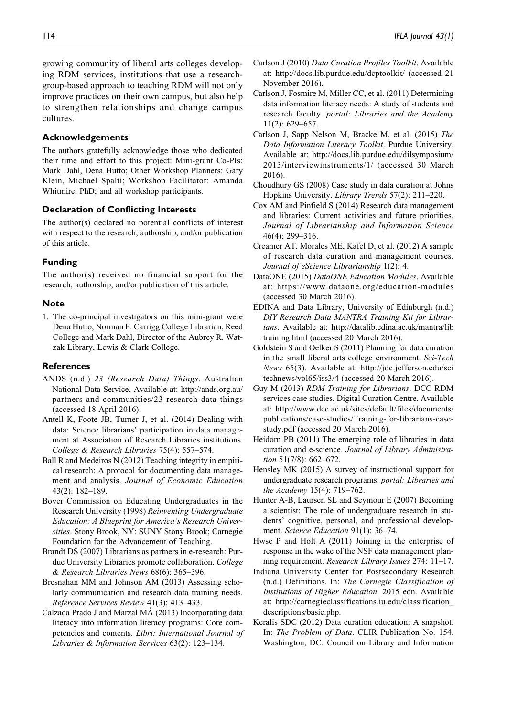growing community of liberal arts colleges developing RDM services, institutions that use a researchgroup-based approach to teaching RDM will not only improve practices on their own campus, but also help to strengthen relationships and change campus cultures.

## Acknowledgements

The authors gratefully acknowledge those who dedicated their time and effort to this project: Mini-grant Co-PIs: Mark Dahl, Dena Hutto; Other Workshop Planners: Gary Klein, Michael Spalti; Workshop Facilitator: Amanda Whitmire, PhD; and all workshop participants.

## Declaration of Conflicting Interests

The author(s) declared no potential conflicts of interest with respect to the research, authorship, and/or publication of this article.

## Funding

The author(s) received no financial support for the research, authorship, and/or publication of this article.

## **Note**

1. The co-principal investigators on this mini-grant were Dena Hutto, Norman F. Carrigg College Librarian, Reed College and Mark Dahl, Director of the Aubrey R. Watzak Library, Lewis & Clark College.

## References

- ANDS (n.d.) 23 (Research Data) Things. Australian National Data Service. Available at: [http://ands.org.au/](http://ands.org.au/partners-and-communities/23-research-data-things) [partners-and-communities/23-research-data-things](http://ands.org.au/partners-and-communities/23-research-data-things) (accessed 18 April 2016).
- Antell K, Foote JB, Turner J, et al. (2014) Dealing with data: Science librarians' participation in data management at Association of Research Libraries institutions. College & Research Libraries 75(4): 557–574.
- Ball R and Medeiros N (2012) Teaching integrity in empirical research: A protocol for documenting data management and analysis. Journal of Economic Education 43(2): 182–189.
- Boyer Commission on Educating Undergraduates in the Research University (1998) Reinventing Undergraduate Education: A Blueprint for America's Research Universities. Stony Brook, NY: SUNY Stony Brook; Carnegie Foundation for the Advancement of Teaching.
- Brandt DS (2007) Librarians as partners in e-research: Purdue University Libraries promote collaboration. College & Research Libraries News 68(6): 365–396.
- Bresnahan MM and Johnson AM (2013) Assessing scholarly communication and research data training needs. Reference Services Review 41(3): 413–433.
- Calzada Prado J and Marzal MA´ (2013) Incorporating data literacy into information literacy programs: Core competencies and contents. Libri: International Journal of Libraries & Information Services 63(2): 123–134.
- Carlson J (2010) Data Curation Profiles Toolkit. Available at:<http://docs.lib.purdue.edu/dcptoolkit/> (accessed 21 November 2016).
- Carlson J, Fosmire M, Miller CC, et al. (2011) Determining data information literacy needs: A study of students and research faculty. portal: Libraries and the Academy 11(2): 629–657.
- Carlson J, Sapp Nelson M, Bracke M, et al. (2015) The Data Information Literacy Toolkit. Purdue University. Available at: [http://docs.lib.purdue.edu/dilsymposium/](http://docs.lib.purdue.edu/dilsymposium/2013/interviewinstruments/1/) [2013/interviewinstruments/1/](http://docs.lib.purdue.edu/dilsymposium/2013/interviewinstruments/1/) (accessed 30 March 2016).
- Choudhury GS (2008) Case study in data curation at Johns Hopkins University. Library Trends 57(2): 211–220.
- Cox AM and Pinfield S (2014) Research data management and libraries: Current activities and future priorities. Journal of Librarianship and Information Science 46(4): 299–316.
- Creamer AT, Morales ME, Kafel D, et al. (2012) A sample of research data curation and management courses. Journal of eScience Librarianship 1(2): 4.
- DataONE (2015) DataONE Education Modules. Available at:<https://www.dataone.org/education-modules> (accessed 30 March 2016).
- EDINA and Data Library, University of Edinburgh (n.d.) DIY Research Data MANTRA Training Kit for Librarians. Available at: [http://datalib.edina.ac.uk/mantra/lib](http://datalib.edina.ac.uk/mantra/libtraining.html) [training.html](http://datalib.edina.ac.uk/mantra/libtraining.html) (accessed 20 March 2016).
- Goldstein S and Oelker S (2011) Planning for data curation in the small liberal arts college environment. Sci-Tech News 65(3). Available at: [http://jdc.jefferson.edu/sci](http://jdc.jefferson.edu/scitechnews/vol65/iss3/4) [technews/vol65/iss3/4](http://jdc.jefferson.edu/scitechnews/vol65/iss3/4) (accessed 20 March 2016).
- Guy M (2013) RDM Training for Librarians. DCC RDM services case studies, Digital Curation Centre. Available at: [http://www.dcc.ac.uk/sites/default/files/documents/](http://www.dcc.ac.uk/sites/default/files/documents/publications/case-studies/Training-for-librarians-case-study.pdf) [publications/case-studies/Training-for-librarians-case](http://www.dcc.ac.uk/sites/default/files/documents/publications/case-studies/Training-for-librarians-case-study.pdf)[study.pdf](http://www.dcc.ac.uk/sites/default/files/documents/publications/case-studies/Training-for-librarians-case-study.pdf) (accessed 20 March 2016).
- Heidorn PB (2011) The emerging role of libraries in data curation and e-science. Journal of Library Administration 51(7/8): 662–672.
- Hensley MK (2015) A survey of instructional support for undergraduate research programs. portal: Libraries and the Academy 15(4): 719–762.
- Hunter A-B, Laursen SL and Seymour E (2007) Becoming a scientist: The role of undergraduate research in students' cognitive, personal, and professional development. Science Education 91(1): 36-74.

Hwse P and Holt A (2011) Joining in the enterprise of response in the wake of the NSF data management planning requirement. Research Library Issues 274: 11–17.

- Indiana University Center for Postsecondary Research (n.d.) Definitions. In: The Carnegie Classification of Institutions of Higher Education. 2015 edn. Available at: [http://carnegieclassifications.iu.edu/classification\\_](http://carnegieclassifications.iu.edu/classification_descriptions/basic.php) [descriptions/basic.php](http://carnegieclassifications.iu.edu/classification_descriptions/basic.php).
- Keralis SDC (2012) Data curation education: A snapshot. In: The Problem of Data. CLIR Publication No. 154. Washington, DC: Council on Library and Information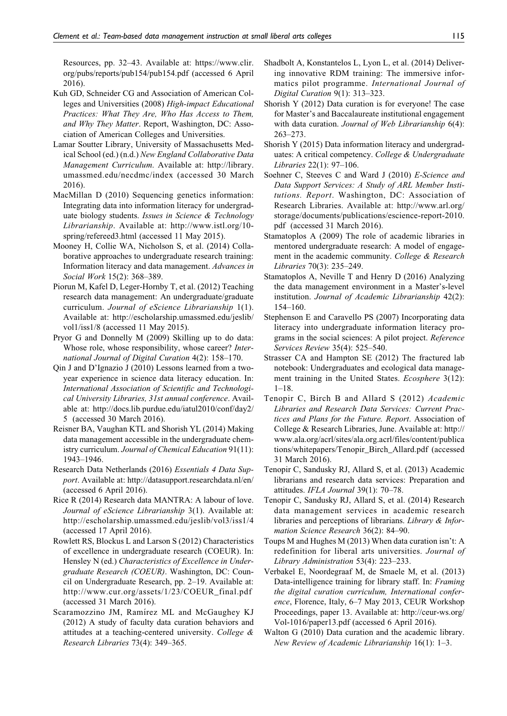Resources, pp. 32–43. Available at: [https://www.clir.](https://www.clir.org/pubs/reports/pub154/pub154.pdf) [org/pubs/reports/pub154/pub154.pdf](https://www.clir.org/pubs/reports/pub154/pub154.pdf) (accessed 6 April 2016).

- Kuh GD, Schneider CG and Association of American Colleges and Universities (2008) High-impact Educational Practices: What They Are, Who Has Access to Them, and Why They Matter. Report, Washington, DC: Association of American Colleges and Universities.
- Lamar Soutter Library, University of Massachusetts Medical School (ed.) (n.d.) New England Collaborative Data Management Curriculum. Available at: [http://library.](http://library.umassmed.edu/necdmc/index) [umassmed.edu/necdmc/index](http://library.umassmed.edu/necdmc/index) (accessed 30 March 2016).
- MacMillan D (2010) Sequencing genetics information: Integrating data into information literacy for undergraduate biology students. Issues in Science & Technology Librarianship. Available at: [http://www.istl.org/10](http://www.istl.org/10-spring/refereed3.html) [spring/refereed3.html](http://www.istl.org/10-spring/refereed3.html) (accessed 11 May 2015).
- Mooney H, Collie WA, Nicholson S, et al. (2014) Collaborative approaches to undergraduate research training: Information literacy and data management. Advances in Social Work 15(2): 368–389.
- Piorun M, Kafel D, Leger-Hornby T, et al. (2012) Teaching research data management: An undergraduate/graduate curriculum. Journal of eScience Librarianship 1(1). Available at: [http://escholarship.umassmed.edu/jeslib/](http://escholarship.umassmed.edu/jeslib/vol1/iss1/8) [vol1/iss1/8](http://escholarship.umassmed.edu/jeslib/vol1/iss1/8) (accessed 11 May 2015).
- Pryor G and Donnelly M (2009) Skilling up to do data: Whose role, whose responsibility, whose career? International Journal of Digital Curation 4(2): 158–170.
- Qin J and D'Ignazio J (2010) Lessons learned from a twoyear experience in science data literacy education. In: International Association of Scientific and Technological University Libraries, 31st annual conference. Available at: [http://docs.lib.purdue.edu/iatul2010/conf/day2/](http://docs.lib.purdue.edu/iatul2010/conf/day2/5) [5](http://docs.lib.purdue.edu/iatul2010/conf/day2/5) (accessed 30 March 2016).
- Reisner BA, Vaughan KTL and Shorish YL (2014) Making data management accessible in the undergraduate chemistry curriculum. Journal of Chemical Education 91(11): 1943–1946.
- Research Data Netherlands (2016) Essentials 4 Data Support. Available at:<http://datasupport.researchdata.nl/en/> (accessed 6 April 2016).
- Rice R (2014) Research data MANTRA: A labour of love. Journal of eScience Librarianship 3(1). Available at: <http://escholarship.umassmed.edu/jeslib/vol3/iss1/4> (accessed 17 April 2016).
- Rowlett RS, Blockus L and Larson S (2012) Characteristics of excellence in undergraduate research (COEUR). In: Hensley N (ed.) Characteristics of Excellence in Undergraduate Research (COEUR). Washington, DC: Council on Undergraduate Research, pp. 2–19. Available at: [http://www.cur.org/assets/1/23/COEUR\\_final.pdf](http://www.cur.org/assets/1/23/COEUR_final.pdf) (accessed 31 March 2016).
- Scaramozzino JM, Ramírez ML and McGaughey KJ (2012) A study of faculty data curation behaviors and attitudes at a teaching-centered university. College & Research Libraries 73(4): 349–365.
- Shadbolt A, Konstantelos L, Lyon L, et al. (2014) Delivering innovative RDM training: The immersive informatics pilot programme. International Journal of Digital Curation 9(1): 313–323.
- Shorish Y (2012) Data curation is for everyone! The case for Master's and Baccalaureate institutional engagement with data curation. Journal of Web Librarianship 6(4): 263–273.
- Shorish Y (2015) Data information literacy and undergraduates: A critical competency. College & Undergraduate Libraries 22(1): 97–106.
- Soehner C, Steeves C and Ward J (2010) E-Science and Data Support Services: A Study of ARL Member Institutions. Report. Washington, DC: Association of Research Libraries. Available at: [http://www.arl.org/](http://www.arl.org/storage/documents/publications/escience-report-2010.pdf) [storage/documents/publications/escience-report-2010.](http://www.arl.org/storage/documents/publications/escience-report-2010.pdf) [pdf](http://www.arl.org/storage/documents/publications/escience-report-2010.pdf) (accessed 31 March 2016).
- Stamatoplos A (2009) The role of academic libraries in mentored undergraduate research: A model of engagement in the academic community. College & Research Libraries 70(3): 235–249.
- Stamatoplos A, Neville T and Henry D (2016) Analyzing the data management environment in a Master's-level institution. Journal of Academic Librarianship 42(2): 154–160.
- Stephenson E and Caravello PS (2007) Incorporating data literacy into undergraduate information literacy programs in the social sciences: A pilot project. Reference Services Review 35(4): 525–540.
- Strasser CA and Hampton SE (2012) The fractured lab notebook: Undergraduates and ecological data management training in the United States. Ecosphere 3(12):  $1-18.$
- Tenopir C, Birch B and Allard S (2012) Academic Libraries and Research Data Services: Current Practices and Plans for the Future. Report. Association of College & Research Libraries, June. Available at: [http://](http://www.ala.org/acrl/sites/ala.org.acrl/files/content/publications/whitepapers/Tenopir_Birch_Allard.pdf) [www.ala.org/acrl/sites/ala.org.acrl/files/content/publica](http://www.ala.org/acrl/sites/ala.org.acrl/files/content/publications/whitepapers/Tenopir_Birch_Allard.pdf) [tions/whitepapers/Tenopir\\_Birch\\_Allard.pdf](http://www.ala.org/acrl/sites/ala.org.acrl/files/content/publications/whitepapers/Tenopir_Birch_Allard.pdf) (accessed 31 March 2016).
- Tenopir C, Sandusky RJ, Allard S, et al. (2013) Academic librarians and research data services: Preparation and attitudes. IFLA Journal 39(1): 70–78.
- Tenopir C, Sandusky RJ, Allard S, et al. (2014) Research data management services in academic research libraries and perceptions of librarians. Library & Information Science Research 36(2): 84–90.
- Toups M and Hughes M (2013) When data curation isn't: A redefinition for liberal arts universities. Journal of Library Administration 53(4): 223–233.
- Verbakel E, Noordegraaf M, de Smaele M, et al. (2013) Data-intelligence training for library staff. In: Framing the digital curation curriculum, International conference, Florence, Italy, 6–7 May 2013, CEUR Workshop Proceedings, paper 13. Available at: [http://ceur-ws.org/](http://ceur-ws.org/Vol-1016/paper13.pdf) [Vol-1016/paper13.pdf](http://ceur-ws.org/Vol-1016/paper13.pdf) (accessed 6 April 2016).
- Walton G (2010) Data curation and the academic library. New Review of Academic Librarianship 16(1): 1–3.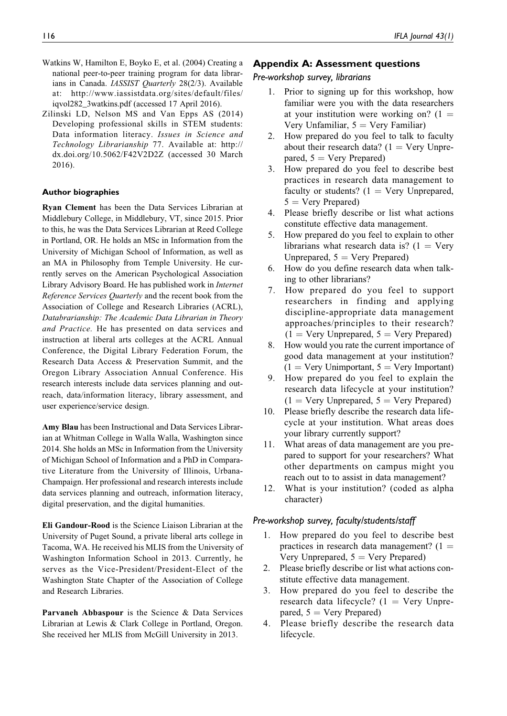- Watkins W, Hamilton E, Boyko E, et al. (2004) Creating a national peer-to-peer training program for data librarians in Canada. IASSIST Quarterly 28(2/3). Available at: [http://www.iassistdata.org/sites/default/files/](http://www.iassistdata.org/sites/default/files/iqvol282_3watkins.pdf) [iqvol282\\_3watkins.pdf](http://www.iassistdata.org/sites/default/files/iqvol282_3watkins.pdf) (accessed 17 April 2016).
- Zilinski LD, Nelson MS and Van Epps AS (2014) Developing professional skills in STEM students: Data information literacy. Issues in Science and Technology Librarianship 77. Available at: [http://](http://dx.doi.org/10.5062/F42V2D2Z) [dx.doi.org/10.5062/F42V2D2Z](http://dx.doi.org/10.5062/F42V2D2Z) (accessed 30 March 2016).

#### Author biographies

Ryan Clement has been the Data Services Librarian at Middlebury College, in Middlebury, VT, since 2015. Prior to this, he was the Data Services Librarian at Reed College in Portland, OR. He holds an MSc in Information from the University of Michigan School of Information, as well as an MA in Philosophy from Temple University. He currently serves on the American Psychological Association Library Advisory Board. He has published work in Internet Reference Services Quarterly and the recent book from the Association of College and Research Libraries (ACRL), Databrarianship: The Academic Data Librarian in Theory and Practice. He has presented on data services and instruction at liberal arts colleges at the ACRL Annual Conference, the Digital Library Federation Forum, the Research Data Access & Preservation Summit, and the Oregon Library Association Annual Conference. His research interests include data services planning and outreach, data/information literacy, library assessment, and user experience/service design.

Amy Blau has been Instructional and Data Services Librarian at Whitman College in Walla Walla, Washington since 2014. She holds an MSc in Information from the University of Michigan School of Information and a PhD in Comparative Literature from the University of Illinois, Urbana-Champaign. Her professional and research interests include data services planning and outreach, information literacy, digital preservation, and the digital humanities.

Eli Gandour-Rood is the Science Liaison Librarian at the University of Puget Sound, a private liberal arts college in Tacoma, WA. He received his MLIS from the University of Washington Information School in 2013. Currently, he serves as the Vice-President/President-Elect of the Washington State Chapter of the Association of College and Research Libraries.

Parvaneh Abbaspour is the Science & Data Services Librarian at Lewis & Clark College in Portland, Oregon. She received her MLIS from McGill University in 2013.

## Appendix A: Assessment questions

#### Pre-workshop survey, librarians

- 1. Prior to signing up for this workshop, how familiar were you with the data researchers at your institution were working on?  $(1 =$ Very Unfamiliar,  $5 = \text{Very Familiar}$ )
- 2. How prepared do you feel to talk to faculty about their research data?  $(1 = \text{Very Unpre-})$ pared,  $5 = \text{Very Prepared}$
- 3. How prepared do you feel to describe best practices in research data management to faculty or students?  $(1 = \text{Very Unprepared},$  $5 =$  Very Prepared)
- 4. Please briefly describe or list what actions constitute effective data management.
- 5. How prepared do you feel to explain to other librarians what research data is?  $(1 = V)$ ery Unprepared,  $5 = \text{Very Prepared}$
- 6. How do you define research data when talking to other librarians?
- 7. How prepared do you feel to support researchers in finding and applying discipline-appropriate data management approaches/principles to their research?  $(1 = \text{Very Unprepared}, 5 = \text{Very Prepared})$
- 8. How would you rate the current importance of good data management at your institution?  $(1 = \text{Very Unimportant}, 5 = \text{Very Important})$
- 9. How prepared do you feel to explain the research data lifecycle at your institution?  $(1 = \text{Very Unprepared}, 5 = \text{Very Prepared})$
- 10. Please briefly describe the research data lifecycle at your institution. What areas does your library currently support?
- 11. What areas of data management are you prepared to support for your researchers? What other departments on campus might you reach out to to assist in data management?
- 12. What is your institution? (coded as alpha character)

#### Pre-workshop survey, faculty/students/staff

- 1. How prepared do you feel to describe best practices in research data management?  $(1 =$ Very Unprepared,  $5 = \text{Very Prepared}$
- 2. Please briefly describe or list what actions constitute effective data management.
- 3. How prepared do you feel to describe the research data lifecycle?  $(1 = \text{Very Unpre-})$ pared,  $5 = \text{Very Prepared}$
- 4. Please briefly describe the research data lifecycle.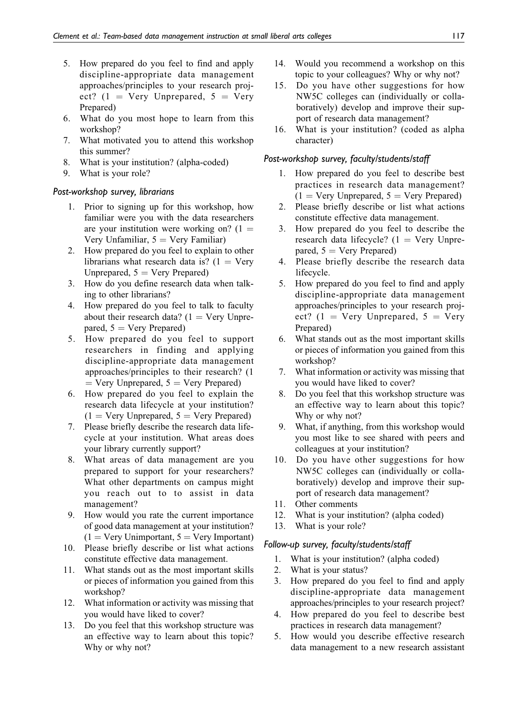- 5. How prepared do you feel to find and apply discipline-appropriate data management approaches/principles to your research project? (1 = Very Unprepared,  $5$  = Very Prepared)
- 6. What do you most hope to learn from this workshop?
- 7. What motivated you to attend this workshop this summer?
- 8. What is your institution? (alpha-coded)
- 9. What is your role?

#### Post-workshop survey, librarians

- 1. Prior to signing up for this workshop, how familiar were you with the data researchers are your institution were working on?  $(1 =$ Very Unfamiliar,  $5 = \text{Very Familiar}$ )
- 2. How prepared do you feel to explain to other librarians what research data is?  $(1 = V$ ery Unprepared,  $5 = \text{Very Prepared}$
- 3. How do you define research data when talking to other librarians?
- 4. How prepared do you feel to talk to faculty about their research data?  $(1 = \text{Very Unpre-})$ pared,  $5 = \text{Very Prepared}$
- 5. How prepared do you feel to support researchers in finding and applying discipline-appropriate data management approaches/principles to their research? (1  $=$  Very Unprepared,  $5 =$  Very Prepared)
- 6. How prepared do you feel to explain the research data lifecycle at your institution?  $(1 = \text{Very Unprepared}, 5 = \text{Very Prepared})$
- 7. Please briefly describe the research data lifecycle at your institution. What areas does your library currently support?
- 8. What areas of data management are you prepared to support for your researchers? What other departments on campus might you reach out to to assist in data management?
- 9. How would you rate the current importance of good data management at your institution?  $(1 = \text{Very Unimportant}, 5 = \text{Very Important})$
- 10. Please briefly describe or list what actions constitute effective data management.
- 11. What stands out as the most important skills or pieces of information you gained from this workshop?
- 12. What information or activity was missing that you would have liked to cover?
- 13. Do you feel that this workshop structure was an effective way to learn about this topic? Why or why not?
- 14. Would you recommend a workshop on this topic to your colleagues? Why or why not?
- 15. Do you have other suggestions for how NW5C colleges can (individually or collaboratively) develop and improve their support of research data management?
- 16. What is your institution? (coded as alpha character)

## Post-workshop survey, faculty/students/staff

- 1. How prepared do you feel to describe best practices in research data management?  $(1 = \text{Very Unprepared}, 5 = \text{Very Prepared})$
- 2. Please briefly describe or list what actions constitute effective data management.
- 3. How prepared do you feel to describe the research data lifecycle?  $(1 = \text{Very Unpre-})$ pared,  $5 = \text{Very Prepared}$
- 4. Please briefly describe the research data lifecycle.
- 5. How prepared do you feel to find and apply discipline-appropriate data management approaches/principles to your research project? (1 = Very Unprepared,  $5 = \text{V}$ ery Prepared)
- 6. What stands out as the most important skills or pieces of information you gained from this workshop?
- 7. What information or activity was missing that you would have liked to cover?
- 8. Do you feel that this workshop structure was an effective way to learn about this topic? Why or why not?
- 9. What, if anything, from this workshop would you most like to see shared with peers and colleagues at your institution?
- 10. Do you have other suggestions for how NW5C colleges can (individually or collaboratively) develop and improve their support of research data management?
- 11. Other comments
- 12. What is your institution? (alpha coded)
- 13. What is your role?

## Follow-up survey, faculty/students/staff

- 1. What is your institution? (alpha coded)
- 2. What is your status?
- 3. How prepared do you feel to find and apply discipline-appropriate data management approaches/principles to your research project?
- 4. How prepared do you feel to describe best practices in research data management?
- 5. How would you describe effective research data management to a new research assistant